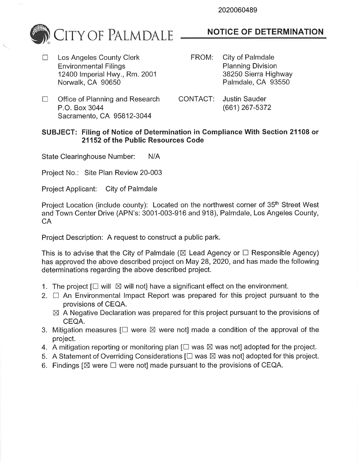2020060489



 $\Box$  Los Angeles County Clerk Environmental Filings 12400 Imperial Hwy., Rm. 2001 Norwalk, CA 90650

# NOTICE OF DETERMINATION

- FROM: City of Palmdale Planning Division 38250 Sierra Highway Palmdale, CA 93550
- $\Box$  Office of Planning and Research P.O. Box 3044 Sacramento, CA 95812-3044
- CONTACT: Justin Sauder (661) 267-5372

### SUBJECT: Filing of Notice of Determination in Compliance With Section 21108 or 21152 of the Public Resources Code

State Clearinghouse Number: N/A

Project No.: Site Plan Review 20-003

Project Applicant: City of Palmdale

Project Location (include county): Located on the northwest corner of 35<sup>th</sup> Street West and Town Center Drive (APN's: 3001-003-916 and 918), Palmdale, Los Angeles County, CA

Project Description: A request to construct a public park.

This is to advise that the City of Palmdale ( $\boxtimes$  Lead Agency or  $\Box$  Responsible Agency) has approved the above described project on May 28,2020, and has made the following determinations regarding the above described project.

- 1. The project  $[\Box \text{ will } \boxtimes \text{ will not}]$  have a significant effect on the environment.
- 2.  $\Box$  An Environmental Impact Report was prepared for this project pursuant to the provisions of CEQA.
	- $\boxtimes$  A Negative Declaration was prepared for this project pursuant to the provisions of CEQA.
- 3. Mitigation measures  $[\Box]$  were  $\boxtimes$  were not] made a condition of the approval of the project.
- 4. A mitigation reporting or monitoring plan  $[\Box$  was  $\boxtimes$  was not] adopted for the project.
- 5. A Statement of Overriding Considerations  $[\Box$  was  $\boxtimes$  was not] adopted for this project.
- 6. Findings  $[\boxtimes]$  were  $\square$  were not made pursuant to the provisions of CEQA.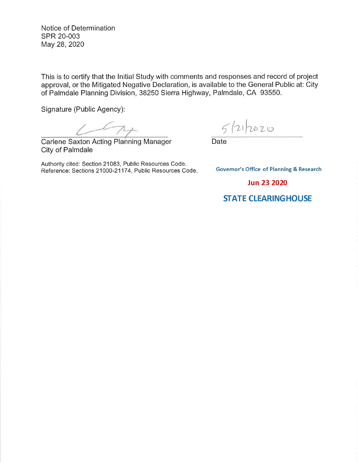Notice of Determination sPR 20-003 May 28,2020

This is to certify that the lnitial Study with comments and responses and record of project approval, or the Mitigated Negative Declaration, is available to the General Public at: City of Palmdale Planning Division, 38250 Sierra Highway, Palmdale, CA 93550.

Signature (Public Agency):

Carlene Saxton Acting Planning Manager 5<br>
Date

City of Palmdale

Authority cited: Section 21083, Public Resources Code. Reference: Sections 21000-21174, Public Resources Code

 $5/21/2020$ 

**Governor's Office of Planning & Research** 

**Jun 23 2020** 

## **STATE CLEARINGHOUSE**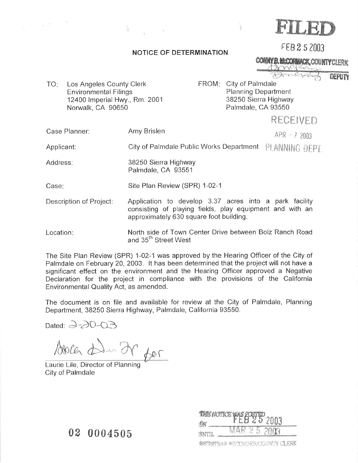

### NOTICE OF DETERMINATION

CONNY B. MCCORMACK, COUNTY CLERK

FEB 2 5 2003

DEPUTY

Los Angeles County Clerk **TO: Environmental Filings** 12400 Imperial Hwy., Rm. 2001 Norwalk, CA 90650

FROM: City of Palmdale **Planning Department** 38250 Sierra Highway Palmdale, CA 93550

## RECFIVED

Amy Brislen Case Planner:

 $APR - 72003$ 

Applicant:

City of Palmdale Public Works Department PLANNING DFPT

Address: 38250 Sierra Highway Palmdale, CA 93551

Site Plan Review (SPR) 1-02-1 Case:

- Description of Project: Application to develop 3.37 acres into a park facility consisting of playing fields, play equipment and with an approximately 630 square foot building.
- North side of Town Center Drive between Bolz Ranch Road Location: and 35<sup>th</sup> Street West

The Site Plan Review (SPR) 1-02-1 was approved by the Hearing Officer of the City of Palmdale on February 20, 2003. It has been determined that the project will not have a significant effect on the environment and the Hearing Officer approved a Negative Declaration for the project in compliance with the provisions of the California Environmental Quality Act, as amended.

The document is on file and available for review at the City of Palmdale, Planning Department, 38250 Sierra Highway, Palmdale, California 93550.

Dated:  $3-20-03$ 

Bola die ?  $600$ 

Laurie Lile, Director of Planning City of Palmdale

**THE NOTICE** ŐN INTIL **WEISTRAR-RECORDER/COUNTY CLERK** 

02 0004505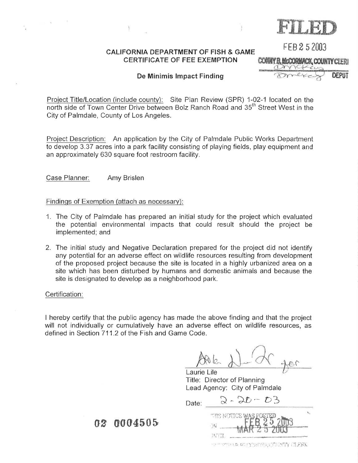FEB 2 5 2003

### **CALIFORNIA DEPARTMENT OF FISH & GAME CERTIFICATE OF FEE EXEMPTION**

CONNY B. MCCORMACK, COUNTY CLERI

**DEPUT** 

### De Minimis Impact Finding

Project Title/Location (include county): Site Plan Review (SPR) 1-02-1 located on the north side of Town Center Drive between Bolz Ranch Road and 35<sup>th</sup> Street West in the City of Palmdale, County of Los Angeles.

Project Description: An application by the City of Palmdale Public Works Department to develop 3.37 acres into a park facility consisting of playing fields, play equipment and an approximately 630 square foot restroom facility.

Case Planner: Amy Brislen

### Findings of Exemption (attach as necessary):

- 1. The City of Palmdale has prepared an initial study for the project which evaluated the potential environmental impacts that could result should the project be implemented; and
- 2. The initial study and Negative Declaration prepared for the project did not identify any potential for an adverse effect on wildlife resources resulting from development of the proposed project because the site is located in a highly urbanized area on a site which has been disturbed by humans and domestic animals and because the site is designated to develop as a neighborhood park.

### Certification:

 $\alpha$ 

I hereby certify that the public agency has made the above finding and that the project will not individually or cumulatively have an adverse effect on wildlife resources, as defined in Section 711.2 of the Fish and Game Code.

Laurie Lile Title: Director of Planning Lead Agency: City of Palmdale

 $2 - 20 - 03$ Date:  $\qquad \qquad$ DΝ **INTIL** 

**NOTIFIELD DE CORPERENCHMPY CLERK** 

02 0004505